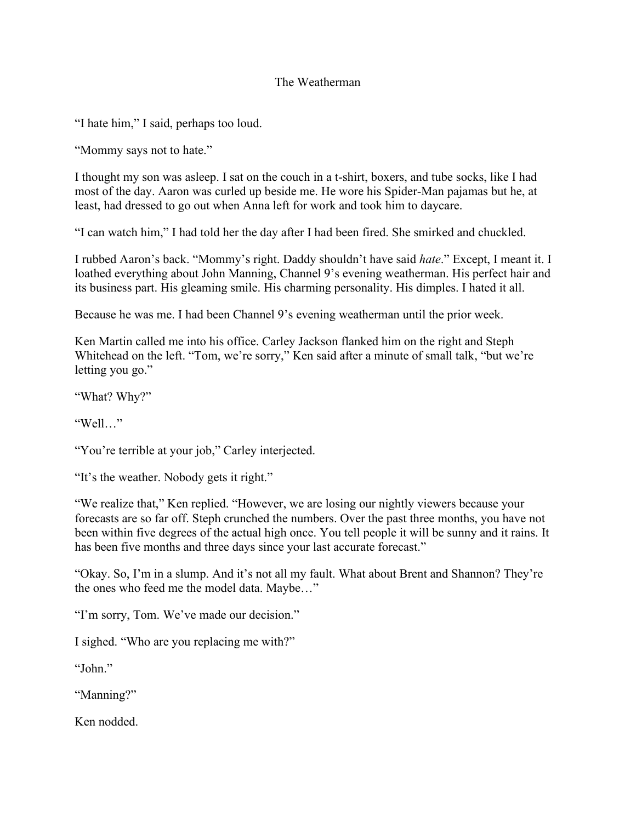## The Weatherman

"I hate him," I said, perhaps too loud.

"Mommy says not to hate."

I thought my son was asleep. I sat on the couch in a t-shirt, boxers, and tube socks, like I had most of the day. Aaron was curled up beside me. He wore his Spider-Man pajamas but he, at least, had dressed to go out when Anna left for work and took him to daycare.

"I can watch him," I had told her the day after I had been fired. She smirked and chuckled.

I rubbed Aaron's back. "Mommy's right. Daddy shouldn't have said *hate*." Except, I meant it. I loathed everything about John Manning, Channel 9's evening weatherman. His perfect hair and its business part. His gleaming smile. His charming personality. His dimples. I hated it all.

Because he was me. I had been Channel 9's evening weatherman until the prior week.

Ken Martin called me into his office. Carley Jackson flanked him on the right and Steph Whitehead on the left. "Tom, we're sorry," Ken said after a minute of small talk, "but we're letting you go."

"What? Why?"

"Well…"

"You're terrible at your job," Carley interjected.

"It's the weather. Nobody gets it right."

"We realize that," Ken replied. "However, we are losing our nightly viewers because your forecasts are so far off. Steph crunched the numbers. Over the past three months, you have not been within five degrees of the actual high once. You tell people it will be sunny and it rains. It has been five months and three days since your last accurate forecast."

"Okay. So, I'm in a slump. And it's not all my fault. What about Brent and Shannon? They're the ones who feed me the model data. Maybe…"

"I'm sorry, Tom. We've made our decision."

I sighed. "Who are you replacing me with?"

"John."

"Manning?"

Ken nodded.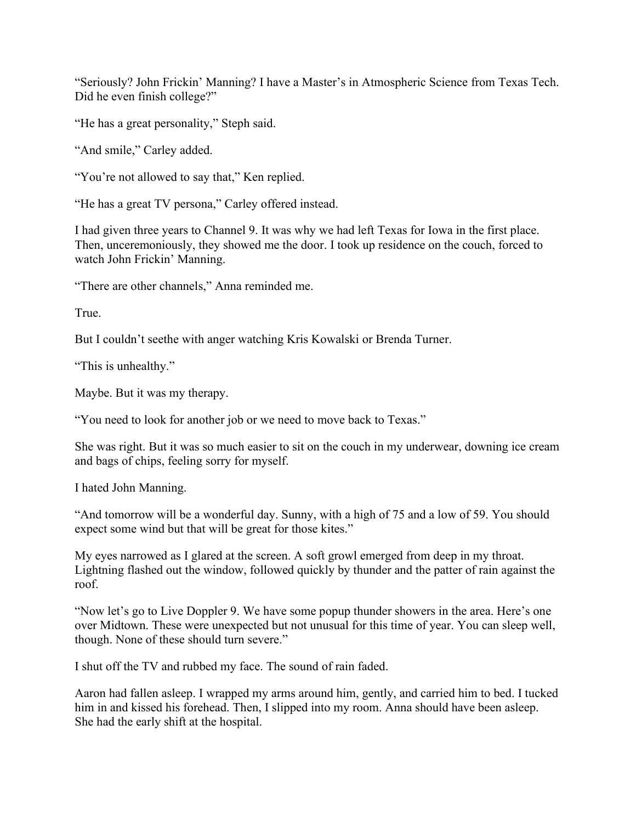"Seriously? John Frickin' Manning? I have a Master's in Atmospheric Science from Texas Tech. Did he even finish college?"

"He has a great personality," Steph said.

"And smile," Carley added.

"You're not allowed to say that," Ken replied.

"He has a great TV persona," Carley offered instead.

I had given three years to Channel 9. It was why we had left Texas for Iowa in the first place. Then, unceremoniously, they showed me the door. I took up residence on the couch, forced to watch John Frickin' Manning.

"There are other channels," Anna reminded me.

True.

But I couldn't seethe with anger watching Kris Kowalski or Brenda Turner.

"This is unhealthy."

Maybe. But it was my therapy.

"You need to look for another job or we need to move back to Texas."

She was right. But it was so much easier to sit on the couch in my underwear, downing ice cream and bags of chips, feeling sorry for myself.

I hated John Manning.

"And tomorrow will be a wonderful day. Sunny, with a high of 75 and a low of 59. You should expect some wind but that will be great for those kites."

My eyes narrowed as I glared at the screen. A soft growl emerged from deep in my throat. Lightning flashed out the window, followed quickly by thunder and the patter of rain against the roof.

"Now let's go to Live Doppler 9. We have some popup thunder showers in the area. Here's one over Midtown. These were unexpected but not unusual for this time of year. You can sleep well, though. None of these should turn severe."

I shut off the TV and rubbed my face. The sound of rain faded.

Aaron had fallen asleep. I wrapped my arms around him, gently, and carried him to bed. I tucked him in and kissed his forehead. Then, I slipped into my room. Anna should have been asleep. She had the early shift at the hospital.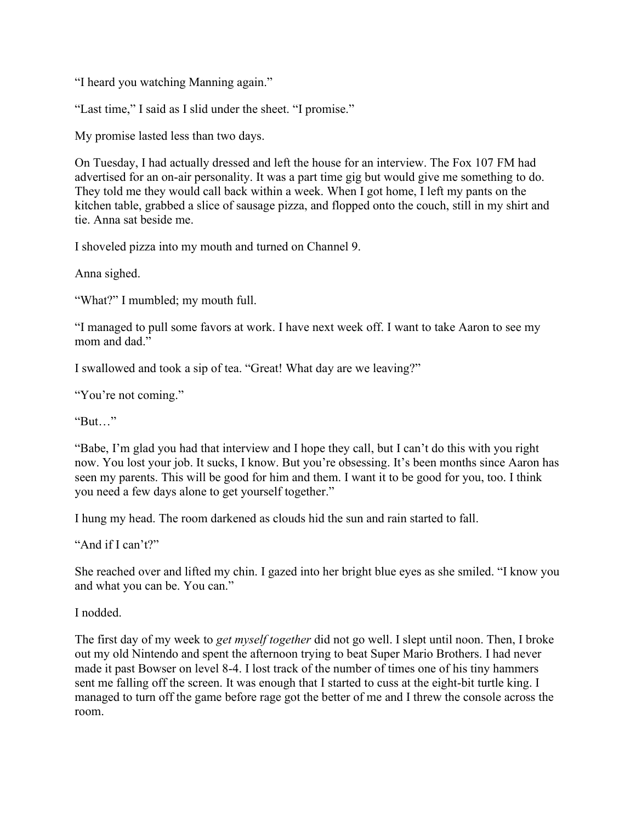"I heard you watching Manning again."

"Last time," I said as I slid under the sheet. "I promise."

My promise lasted less than two days.

On Tuesday, I had actually dressed and left the house for an interview. The Fox 107 FM had advertised for an on-air personality. It was a part time gig but would give me something to do. They told me they would call back within a week. When I got home, I left my pants on the kitchen table, grabbed a slice of sausage pizza, and flopped onto the couch, still in my shirt and tie. Anna sat beside me.

I shoveled pizza into my mouth and turned on Channel 9.

Anna sighed.

"What?" I mumbled; my mouth full.

"I managed to pull some favors at work. I have next week off. I want to take Aaron to see my mom and dad."

I swallowed and took a sip of tea. "Great! What day are we leaving?"

"You're not coming."

"But…"

"Babe, I'm glad you had that interview and I hope they call, but I can't do this with you right now. You lost your job. It sucks, I know. But you're obsessing. It's been months since Aaron has seen my parents. This will be good for him and them. I want it to be good for you, too. I think you need a few days alone to get yourself together."

I hung my head. The room darkened as clouds hid the sun and rain started to fall.

"And if I can't?"

She reached over and lifted my chin. I gazed into her bright blue eyes as she smiled. "I know you and what you can be. You can."

I nodded.

The first day of my week to *get myself together* did not go well. I slept until noon. Then, I broke out my old Nintendo and spent the afternoon trying to beat Super Mario Brothers. I had never made it past Bowser on level 8-4. I lost track of the number of times one of his tiny hammers sent me falling off the screen. It was enough that I started to cuss at the eight-bit turtle king. I managed to turn off the game before rage got the better of me and I threw the console across the room.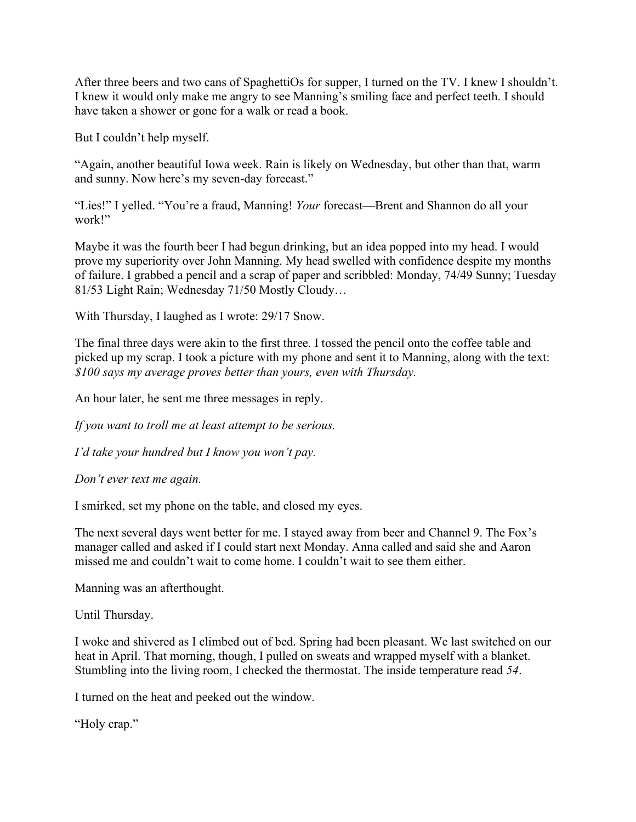After three beers and two cans of SpaghettiOs for supper, I turned on the TV. I knew I shouldn't. I knew it would only make me angry to see Manning's smiling face and perfect teeth. I should have taken a shower or gone for a walk or read a book.

But I couldn't help myself.

"Again, another beautiful Iowa week. Rain is likely on Wednesday, but other than that, warm and sunny. Now here's my seven-day forecast."

"Lies!" I yelled. "You're a fraud, Manning! *Your* forecast—Brent and Shannon do all your work!"

Maybe it was the fourth beer I had begun drinking, but an idea popped into my head. I would prove my superiority over John Manning. My head swelled with confidence despite my months of failure. I grabbed a pencil and a scrap of paper and scribbled: Monday, 74/49 Sunny; Tuesday 81/53 Light Rain; Wednesday 71/50 Mostly Cloudy…

With Thursday, I laughed as I wrote: 29/17 Snow.

The final three days were akin to the first three. I tossed the pencil onto the coffee table and picked up my scrap. I took a picture with my phone and sent it to Manning, along with the text: *\$100 says my average proves better than yours, even with Thursday.*

An hour later, he sent me three messages in reply.

*If you want to troll me at least attempt to be serious.*

*I'd take your hundred but I know you won't pay.*

*Don't ever text me again.*

I smirked, set my phone on the table, and closed my eyes.

The next several days went better for me. I stayed away from beer and Channel 9. The Fox's manager called and asked if I could start next Monday. Anna called and said she and Aaron missed me and couldn't wait to come home. I couldn't wait to see them either.

Manning was an afterthought.

Until Thursday.

I woke and shivered as I climbed out of bed. Spring had been pleasant. We last switched on our heat in April. That morning, though, I pulled on sweats and wrapped myself with a blanket. Stumbling into the living room, I checked the thermostat. The inside temperature read *54*.

I turned on the heat and peeked out the window.

"Holy crap."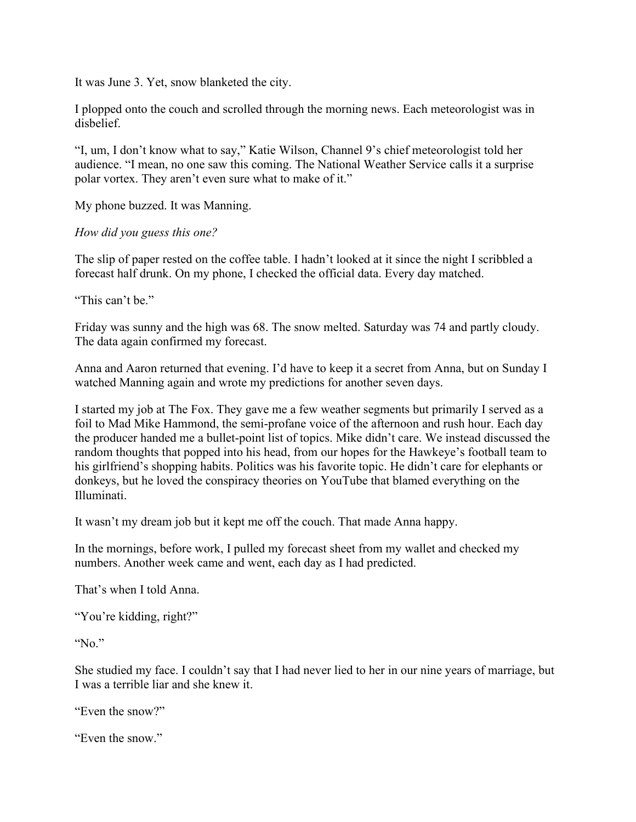It was June 3. Yet, snow blanketed the city.

I plopped onto the couch and scrolled through the morning news. Each meteorologist was in disbelief.

"I, um, I don't know what to say," Katie Wilson, Channel 9's chief meteorologist told her audience. "I mean, no one saw this coming. The National Weather Service calls it a surprise polar vortex. They aren't even sure what to make of it."

My phone buzzed. It was Manning.

*How did you guess this one?*

The slip of paper rested on the coffee table. I hadn't looked at it since the night I scribbled a forecast half drunk. On my phone, I checked the official data. Every day matched.

"This can't be."

Friday was sunny and the high was 68. The snow melted. Saturday was 74 and partly cloudy. The data again confirmed my forecast.

Anna and Aaron returned that evening. I'd have to keep it a secret from Anna, but on Sunday I watched Manning again and wrote my predictions for another seven days.

I started my job at The Fox. They gave me a few weather segments but primarily I served as a foil to Mad Mike Hammond, the semi-profane voice of the afternoon and rush hour. Each day the producer handed me a bullet-point list of topics. Mike didn't care. We instead discussed the random thoughts that popped into his head, from our hopes for the Hawkeye's football team to his girlfriend's shopping habits. Politics was his favorite topic. He didn't care for elephants or donkeys, but he loved the conspiracy theories on YouTube that blamed everything on the Illuminati.

It wasn't my dream job but it kept me off the couch. That made Anna happy.

In the mornings, before work, I pulled my forecast sheet from my wallet and checked my numbers. Another week came and went, each day as I had predicted.

That's when I told Anna.

```
"You're kidding, right?"
```
"No."

She studied my face. I couldn't say that I had never lied to her in our nine years of marriage, but I was a terrible liar and she knew it.

"Even the snow?"

"Even the snow."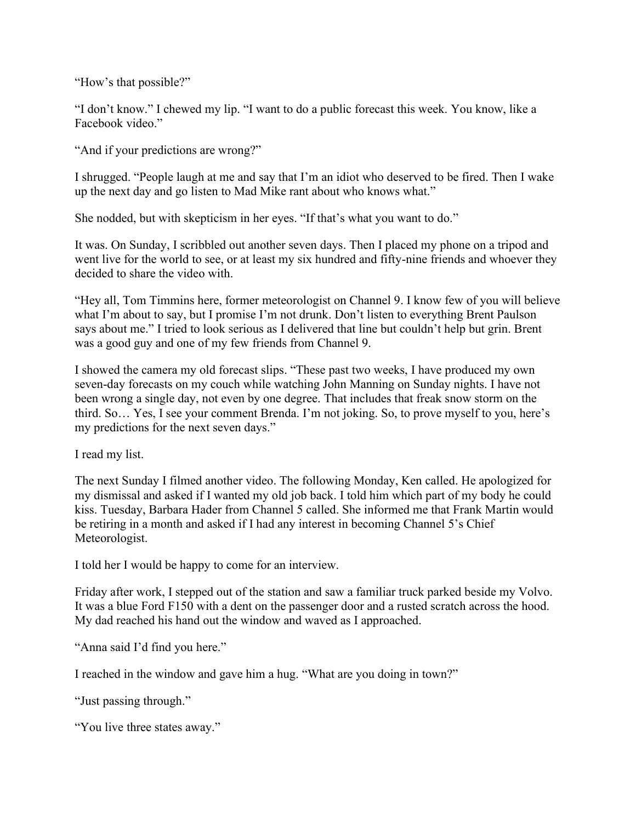"How's that possible?"

"I don't know." I chewed my lip. "I want to do a public forecast this week. You know, like a Facebook video."

"And if your predictions are wrong?"

I shrugged. "People laugh at me and say that I'm an idiot who deserved to be fired. Then I wake up the next day and go listen to Mad Mike rant about who knows what."

She nodded, but with skepticism in her eyes. "If that's what you want to do."

It was. On Sunday, I scribbled out another seven days. Then I placed my phone on a tripod and went live for the world to see, or at least my six hundred and fifty-nine friends and whoever they decided to share the video with.

"Hey all, Tom Timmins here, former meteorologist on Channel 9. I know few of you will believe what I'm about to say, but I promise I'm not drunk. Don't listen to everything Brent Paulson says about me." I tried to look serious as I delivered that line but couldn't help but grin. Brent was a good guy and one of my few friends from Channel 9.

I showed the camera my old forecast slips. "These past two weeks, I have produced my own seven-day forecasts on my couch while watching John Manning on Sunday nights. I have not been wrong a single day, not even by one degree. That includes that freak snow storm on the third. So… Yes, I see your comment Brenda. I'm not joking. So, to prove myself to you, here's my predictions for the next seven days."

I read my list.

The next Sunday I filmed another video. The following Monday, Ken called. He apologized for my dismissal and asked if I wanted my old job back. I told him which part of my body he could kiss. Tuesday, Barbara Hader from Channel 5 called. She informed me that Frank Martin would be retiring in a month and asked if I had any interest in becoming Channel 5's Chief Meteorologist.

I told her I would be happy to come for an interview.

Friday after work, I stepped out of the station and saw a familiar truck parked beside my Volvo. It was a blue Ford F150 with a dent on the passenger door and a rusted scratch across the hood. My dad reached his hand out the window and waved as I approached.

"Anna said I'd find you here."

I reached in the window and gave him a hug. "What are you doing in town?"

"Just passing through."

"You live three states away."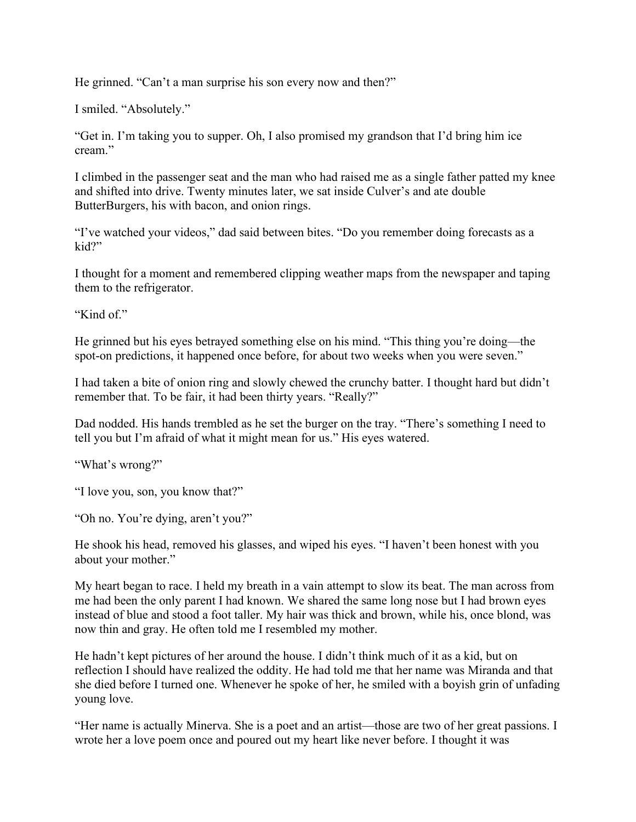He grinned. "Can't a man surprise his son every now and then?"

I smiled. "Absolutely."

"Get in. I'm taking you to supper. Oh, I also promised my grandson that I'd bring him ice cream."

I climbed in the passenger seat and the man who had raised me as a single father patted my knee and shifted into drive. Twenty minutes later, we sat inside Culver's and ate double ButterBurgers, his with bacon, and onion rings.

"I've watched your videos," dad said between bites. "Do you remember doing forecasts as a kid?"

I thought for a moment and remembered clipping weather maps from the newspaper and taping them to the refrigerator.

"Kind of."

He grinned but his eyes betrayed something else on his mind. "This thing you're doing—the spot-on predictions, it happened once before, for about two weeks when you were seven."

I had taken a bite of onion ring and slowly chewed the crunchy batter. I thought hard but didn't remember that. To be fair, it had been thirty years. "Really?"

Dad nodded. His hands trembled as he set the burger on the tray. "There's something I need to tell you but I'm afraid of what it might mean for us." His eyes watered.

"What's wrong?"

"I love you, son, you know that?"

"Oh no. You're dying, aren't you?"

He shook his head, removed his glasses, and wiped his eyes. "I haven't been honest with you about your mother."

My heart began to race. I held my breath in a vain attempt to slow its beat. The man across from me had been the only parent I had known. We shared the same long nose but I had brown eyes instead of blue and stood a foot taller. My hair was thick and brown, while his, once blond, was now thin and gray. He often told me I resembled my mother.

He hadn't kept pictures of her around the house. I didn't think much of it as a kid, but on reflection I should have realized the oddity. He had told me that her name was Miranda and that she died before I turned one. Whenever he spoke of her, he smiled with a boyish grin of unfading young love.

"Her name is actually Minerva. She is a poet and an artist—those are two of her great passions. I wrote her a love poem once and poured out my heart like never before. I thought it was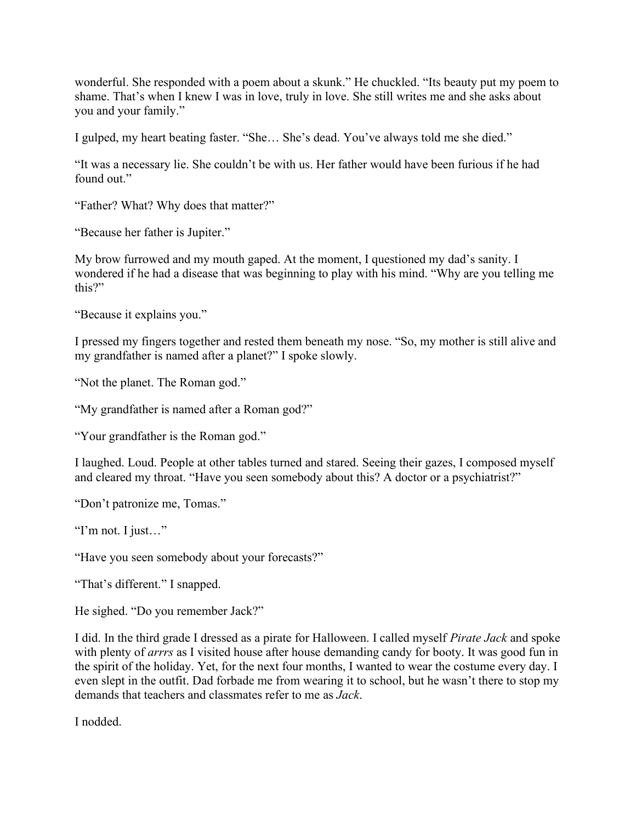wonderful. She responded with a poem about a skunk." He chuckled. "Its beauty put my poem to shame. That's when I knew I was in love, truly in love. She still writes me and she asks about you and your family."

I gulped, my heart beating faster. "She… She's dead. You've always told me she died."

"It was a necessary lie. She couldn't be with us. Her father would have been furious if he had found out."

"Father? What? Why does that matter?"

"Because her father is Jupiter."

My brow furrowed and my mouth gaped. At the moment, I questioned my dad's sanity. I wondered if he had a disease that was beginning to play with his mind. "Why are you telling me this?"

"Because it explains you."

I pressed my fingers together and rested them beneath my nose. "So, my mother is still alive and my grandfather is named after a planet?" I spoke slowly.

"Not the planet. The Roman god."

"My grandfather is named after a Roman god?"

"Your grandfather is the Roman god."

I laughed. Loud. People at other tables turned and stared. Seeing their gazes, I composed myself and cleared my throat. "Have you seen somebody about this? A doctor or a psychiatrist?"

"Don't patronize me, Tomas."

"I'm not. I just…"

"Have you seen somebody about your forecasts?"

"That's different." I snapped.

He sighed. "Do you remember Jack?"

I did. In the third grade I dressed as a pirate for Halloween. I called myself *Pirate Jack* and spoke with plenty of *arrrs* as I visited house after house demanding candy for booty. It was good fun in the spirit of the holiday. Yet, for the next four months, I wanted to wear the costume every day. I even slept in the outfit. Dad forbade me from wearing it to school, but he wasn't there to stop my demands that teachers and classmates refer to me as *Jack*.

I nodded.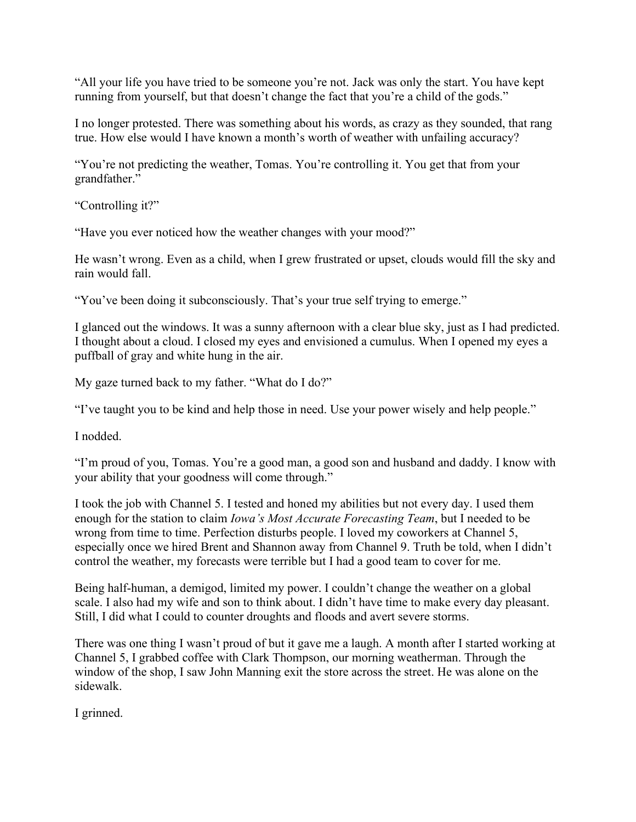"All your life you have tried to be someone you're not. Jack was only the start. You have kept running from yourself, but that doesn't change the fact that you're a child of the gods."

I no longer protested. There was something about his words, as crazy as they sounded, that rang true. How else would I have known a month's worth of weather with unfailing accuracy?

"You're not predicting the weather, Tomas. You're controlling it. You get that from your grandfather."

"Controlling it?"

"Have you ever noticed how the weather changes with your mood?"

He wasn't wrong. Even as a child, when I grew frustrated or upset, clouds would fill the sky and rain would fall.

"You've been doing it subconsciously. That's your true self trying to emerge."

I glanced out the windows. It was a sunny afternoon with a clear blue sky, just as I had predicted. I thought about a cloud. I closed my eyes and envisioned a cumulus. When I opened my eyes a puffball of gray and white hung in the air.

My gaze turned back to my father. "What do I do?"

"I've taught you to be kind and help those in need. Use your power wisely and help people."

I nodded.

"I'm proud of you, Tomas. You're a good man, a good son and husband and daddy. I know with your ability that your goodness will come through."

I took the job with Channel 5. I tested and honed my abilities but not every day. I used them enough for the station to claim *Iowa's Most Accurate Forecasting Team*, but I needed to be wrong from time to time. Perfection disturbs people. I loved my coworkers at Channel 5, especially once we hired Brent and Shannon away from Channel 9. Truth be told, when I didn't control the weather, my forecasts were terrible but I had a good team to cover for me.

Being half-human, a demigod, limited my power. I couldn't change the weather on a global scale. I also had my wife and son to think about. I didn't have time to make every day pleasant. Still, I did what I could to counter droughts and floods and avert severe storms.

There was one thing I wasn't proud of but it gave me a laugh. A month after I started working at Channel 5, I grabbed coffee with Clark Thompson, our morning weatherman. Through the window of the shop, I saw John Manning exit the store across the street. He was alone on the sidewalk.

I grinned.